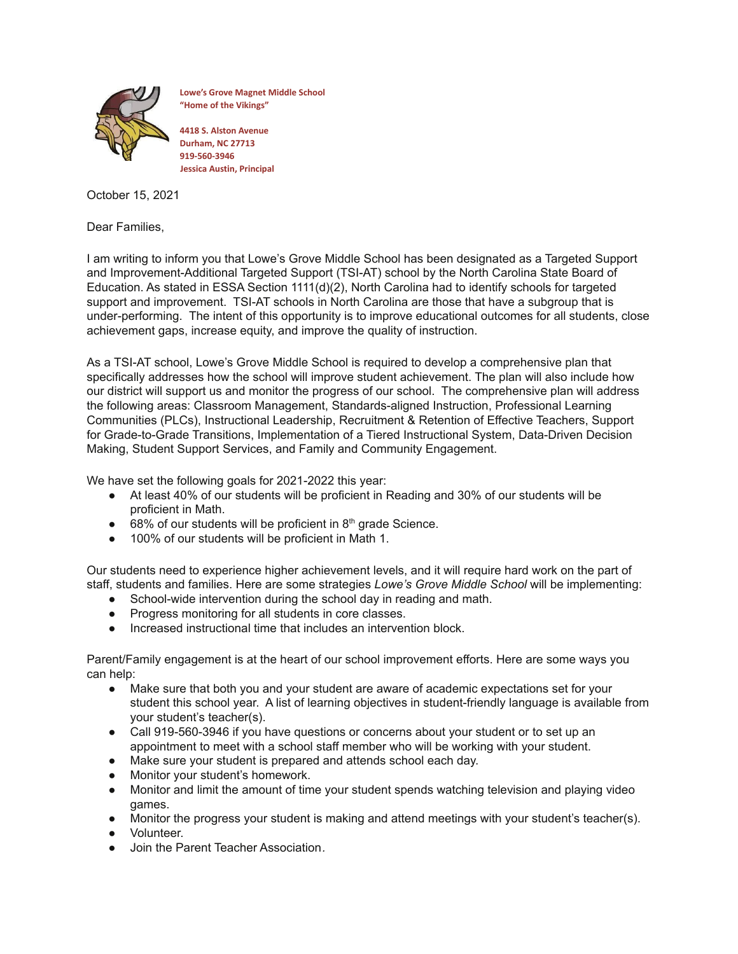

**Lowe's Grove Magnet Middle School "Home of the Vikings"**

**4418 S. Alston Avenue Durham, NC 27713 919-560-3946 Jessica Austin, Principal**

October 15, 2021

Dear Families,

I am writing to inform you that Lowe's Grove Middle School has been designated as a Targeted Support and Improvement-Additional Targeted Support (TSI-AT) school by the North Carolina State Board of Education. As stated in ESSA Section 1111(d)(2), North Carolina had to identify schools for targeted support and improvement. TSI-AT schools in North Carolina are those that have a subgroup that is under-performing. The intent of this opportunity is to improve educational outcomes for all students, close achievement gaps, increase equity, and improve the quality of instruction.

As a TSI-AT school, Lowe's Grove Middle School is required to develop a comprehensive plan that specifically addresses how the school will improve student achievement. The plan will also include how our district will support us and monitor the progress of our school. The comprehensive plan will address the following areas: Classroom Management, Standards-aligned Instruction, Professional Learning Communities (PLCs), Instructional Leadership, Recruitment & Retention of Effective Teachers, Support for Grade-to-Grade Transitions, Implementation of a Tiered Instructional System, Data-Driven Decision Making, Student Support Services, and Family and Community Engagement.

We have set the following goals for 2021-2022 this year:

- At least 40% of our students will be proficient in Reading and 30% of our students will be proficient in Math.
- $\bullet$  68% of our students will be proficient in 8<sup>th</sup> grade Science.
- 100% of our students will be proficient in Math 1.

Our students need to experience higher achievement levels, and it will require hard work on the part of staff, students and families. Here are some strategies *Lowe's Grove Middle School* will be implementing:

- School-wide intervention during the school day in reading and math.
- Progress monitoring for all students in core classes.
- Increased instructional time that includes an intervention block.

Parent/Family engagement is at the heart of our school improvement efforts. Here are some ways you can help:

- Make sure that both you and your student are aware of academic expectations set for your student this school year. A list of learning objectives in student-friendly language is available from your student's teacher(s).
- Call 919-560-3946 if you have questions or concerns about your student or to set up an appointment to meet with a school staff member who will be working with your student.
- Make sure your student is prepared and attends school each day.
- Monitor your student's homework.
- Monitor and limit the amount of time your student spends watching television and playing video games.
- Monitor the progress your student is making and attend meetings with your student's teacher(s).
- Volunteer.
- Join the Parent Teacher Association*.*